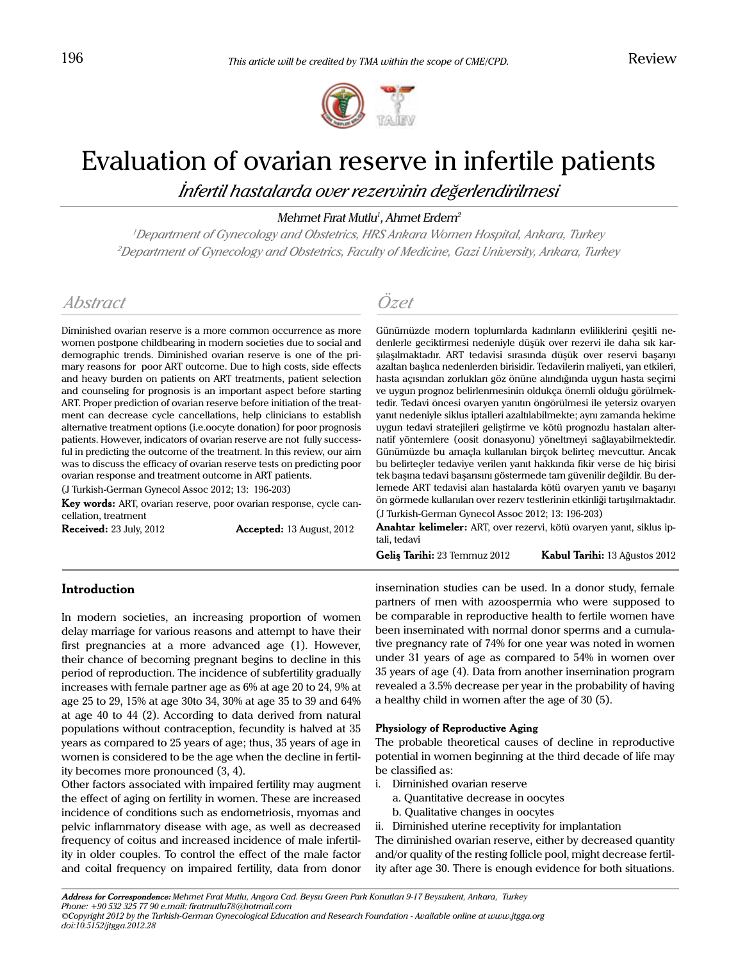

# Evaluation of ovarian reserve in infertile patients

*İnfertil hastalarda over rezervinin değerlendirilmesi*

Mehmet Fırat Mutlu<sup>1</sup>, Ahmet Erdem<sup>2</sup>

*<sup>1</sup>Department of Gynecology and Obstetrics, HRS Ankara Women Hospital, Ankara, Turkey <sup>2</sup>Department of Gynecology and Obstetrics, Faculty of Medicine, Gazi University, Ankara, Turkey*

## *Abstract Özet*

Diminished ovarian reserve is a more common occurrence as more women postpone childbearing in modern societies due to social and demographic trends. Diminished ovarian reserve is one of the primary reasons for poor ART outcome. Due to high costs, side effects and heavy burden on patients on ART treatments, patient selection and counseling for prognosis is an important aspect before starting ART. Proper prediction of ovarian reserve before initiation of the treatment can decrease cycle cancellations, help clinicians to establish alternative treatment options (i.e.oocyte donation) for poor prognosis patients. However, indicators of ovarian reserve are not fully successful in predicting the outcome of the treatment. In this review, our aim was to discuss the efficacy of ovarian reserve tests on predicting poor ovarian response and treatment outcome in ART patients.

(J Turkish-German Gynecol Assoc 2012; 13: 196-203)

**Key words:** ART, ovarian reserve, poor ovarian response, cycle cancellation, treatment

**Received:** 23 July, 2012 **Accepted:** 13 August, 2012

Günümüzde modern toplumlarda kadınların evliliklerini çeşitli nedenlerle geciktirmesi nedeniyle düşük over rezervi ile daha sık karşılaşılmaktadır. ART tedavisi sırasında düşük over reservi başarıyı azaltan başlıca nedenlerden birisidir. Tedavilerin maliyeti, yan etkileri, hasta açısından zorlukları göz önüne alındığında uygun hasta seçimi ve uygun prognoz belirlenmesinin oldukça önemli olduğu görülmektedir. Tedavi öncesi ovaryen yanıtın öngörülmesi ile yetersiz ovaryen yanıt nedeniyle siklus iptalleri azaltılabilmekte; aynı zamanda hekime uygun tedavi stratejileri geliştirme ve kötü prognozlu hastaları alternatif yöntemlere (oosit donasyonu) yöneltmeyi sağlayabilmektedir. Günümüzde bu amaçla kullanılan birçok belirteç mevcuttur. Ancak bu belirteçler tedaviye verilen yanıt hakkında fikir verse de hiç birisi tek başına tedavi başarısını göstermede tam güvenilir değildir. Bu derlemede ART tedavisi alan hastalarda kötü ovaryen yanıtı ve başarıyı ön görmede kullanılan over rezerv testlerinin etkinliği tartışılmaktadır. (J Turkish-German Gynecol Assoc 2012; 13: 196-203)

**Anahtar kelimeler:** ART, over rezervi, kötü ovaryen yanıt, siklus iptali, tedavi

**Geliş Tarihi:** 23 Temmuz 2012 **Kabul Tarihi:** 13 Ağustos 2012

### **Introduction**

In modern societies, an increasing proportion of women delay marriage for various reasons and attempt to have their first pregnancies at a more advanced age (1). However, their chance of becoming pregnant begins to decline in this period of reproduction. The incidence of subfertility gradually increases with female partner age as 6% at age 20 to 24, 9% at age 25 to 29, 15% at age 30to 34, 30% at age 35 to 39 and 64% at age 40 to 44 (2). According to data derived from natural populations without contraception, fecundity is halved at 35 years as compared to 25 years of age; thus, 35 years of age in women is considered to be the age when the decline in fertility becomes more pronounced (3, 4).

Other factors associated with impaired fertility may augment the effect of aging on fertility in women. These are increased incidence of conditions such as endometriosis, myomas and pelvic inflammatory disease with age, as well as decreased frequency of coitus and increased incidence of male infertility in older couples. To control the effect of the male factor and coital frequency on impaired fertility, data from donor insemination studies can be used. In a donor study, female partners of men with azoospermia who were supposed to be comparable in reproductive health to fertile women have been inseminated with normal donor sperms and a cumulative pregnancy rate of 74% for one year was noted in women under 31 years of age as compared to 54% in women over 35 years of age (4). Data from another insemination program revealed a 3.5% decrease per year in the probability of having a healthy child in women after the age of 30 (5).

#### **Physiology of Reproductive Aging**

The probable theoretical causes of decline in reproductive potential in women beginning at the third decade of life may be classified as:

- i. Diminished ovarian reserve
	- a. Quantitative decrease in oocytes
	- b. Qualitative changes in oocytes
- ii. Diminished uterine receptivity for implantation

The diminished ovarian reserve, either by decreased quantity and/or quality of the resting follicle pool, might decrease fertility after age 30. There is enough evidence for both situations.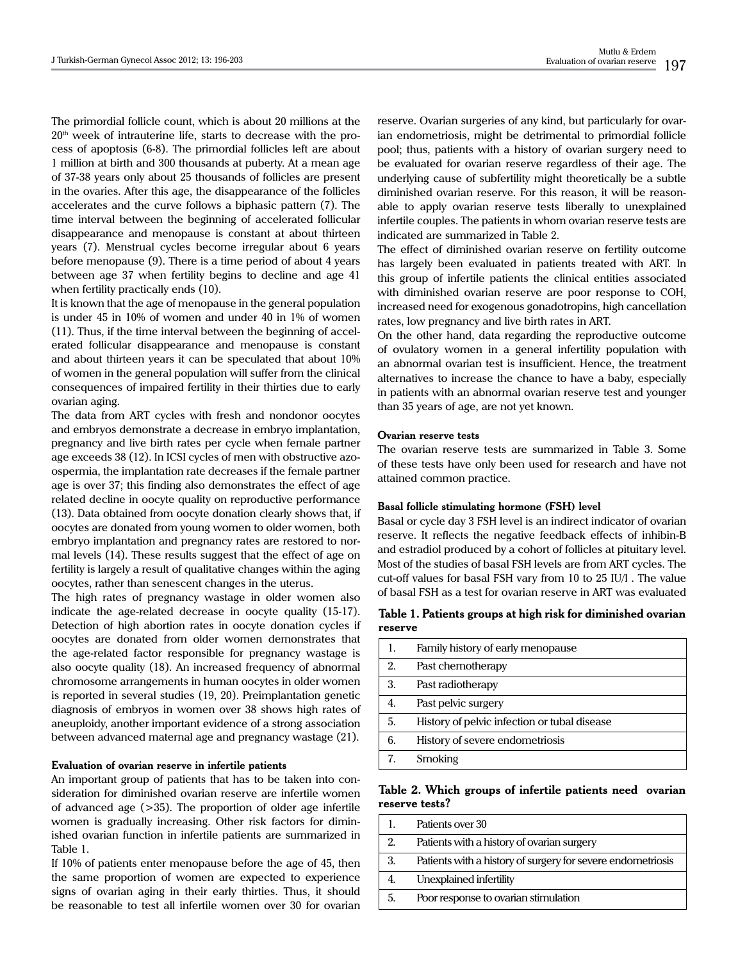The primordial follicle count, which is about 20 millions at the 20<sup>th</sup> week of intrauterine life, starts to decrease with the process of apoptosis (6-8). The primordial follicles left are about 1 million at birth and 300 thousands at puberty. At a mean age of 37-38 years only about 25 thousands of follicles are present in the ovaries. After this age, the disappearance of the follicles accelerates and the curve follows a biphasic pattern (7). The time interval between the beginning of accelerated follicular disappearance and menopause is constant at about thirteen years (7). Menstrual cycles become irregular about 6 years before menopause (9). There is a time period of about 4 years between age 37 when fertility begins to decline and age 41 when fertility practically ends (10).

It is known that the age of menopause in the general population is under 45 in 10% of women and under 40 in 1% of women (11). Thus, if the time interval between the beginning of accelerated follicular disappearance and menopause is constant and about thirteen years it can be speculated that about 10% of women in the general population will suffer from the clinical consequences of impaired fertility in their thirties due to early ovarian aging.

The data from ART cycles with fresh and nondonor oocytes and embryos demonstrate a decrease in embryo implantation, pregnancy and live birth rates per cycle when female partner age exceeds 38 (12). In ICSI cycles of men with obstructive azoospermia, the implantation rate decreases if the female partner age is over 37; this finding also demonstrates the effect of age related decline in oocyte quality on reproductive performance (13). Data obtained from oocyte donation clearly shows that, if oocytes are donated from young women to older women, both embryo implantation and pregnancy rates are restored to normal levels (14). These results suggest that the effect of age on fertility is largely a result of qualitative changes within the aging oocytes, rather than senescent changes in the uterus.

The high rates of pregnancy wastage in older women also indicate the age-related decrease in oocyte quality (15-17). Detection of high abortion rates in oocyte donation cycles if oocytes are donated from older women demonstrates that the age-related factor responsible for pregnancy wastage is also oocyte quality (18). An increased frequency of abnormal chromosome arrangements in human oocytes in older women is reported in several studies (19, 20). Preimplantation genetic diagnosis of embryos in women over 38 shows high rates of aneuploidy, another important evidence of a strong association between advanced maternal age and pregnancy wastage (21).

#### **Evaluation of ovarian reserve in infertile patients**

An important group of patients that has to be taken into consideration for diminished ovarian reserve are infertile women of advanced age (>35). The proportion of older age infertile women is gradually increasing. Other risk factors for diminished ovarian function in infertile patients are summarized in Table 1.

If 10% of patients enter menopause before the age of 45, then the same proportion of women are expected to experience signs of ovarian aging in their early thirties. Thus, it should be reasonable to test all infertile women over 30 for ovarian reserve. Ovarian surgeries of any kind, but particularly for ovarian endometriosis, might be detrimental to primordial follicle pool; thus, patients with a history of ovarian surgery need to be evaluated for ovarian reserve regardless of their age. The underlying cause of subfertility might theoretically be a subtle diminished ovarian reserve. For this reason, it will be reasonable to apply ovarian reserve tests liberally to unexplained infertile couples. The patients in whom ovarian reserve tests are indicated are summarized in Table 2.

The effect of diminished ovarian reserve on fertility outcome has largely been evaluated in patients treated with ART. In this group of infertile patients the clinical entities associated with diminished ovarian reserve are poor response to COH, increased need for exogenous gonadotropins, high cancellation rates, low pregnancy and live birth rates in ART.

On the other hand, data regarding the reproductive outcome of ovulatory women in a general infertility population with an abnormal ovarian test is insufficient. Hence, the treatment alternatives to increase the chance to have a baby, especially in patients with an abnormal ovarian reserve test and younger than 35 years of age, are not yet known.

#### **Ovarian reserve tests**

The ovarian reserve tests are summarized in Table 3. Some of these tests have only been used for research and have not attained common practice.

#### **Basal follicle stimulating hormone (FSH) level**

Basal or cycle day 3 FSH level is an indirect indicator of ovarian reserve. It reflects the negative feedback effects of inhibin-B and estradiol produced by a cohort of follicles at pituitary level. Most of the studies of basal FSH levels are from ART cycles. The cut-off values for basal FSH vary from 10 to 25 IU/l . The value of basal FSH as a test for ovarian reserve in ART was evaluated

#### **Table 1. Patients groups at high risk for diminished ovarian reserve**

|    | Family history of early menopause            |
|----|----------------------------------------------|
| 2. | Past chemotherapy                            |
| 3. | Past radiotherapy                            |
| 4. | Past pelvic surgery                          |
| 5. | History of pelvic infection or tubal disease |
| 6. | History of severe endometriosis              |
|    | Smoking                                      |

#### **Table 2. Which groups of infertile patients need ovarian reserve tests?**

|    | Patients over 30                                            |
|----|-------------------------------------------------------------|
| 2. | Patients with a history of ovarian surgery                  |
| 3. | Patients with a history of surgery for severe endometriosis |
| 4. | Unexplained infertility                                     |
| 5. | Poor response to ovarian stimulation                        |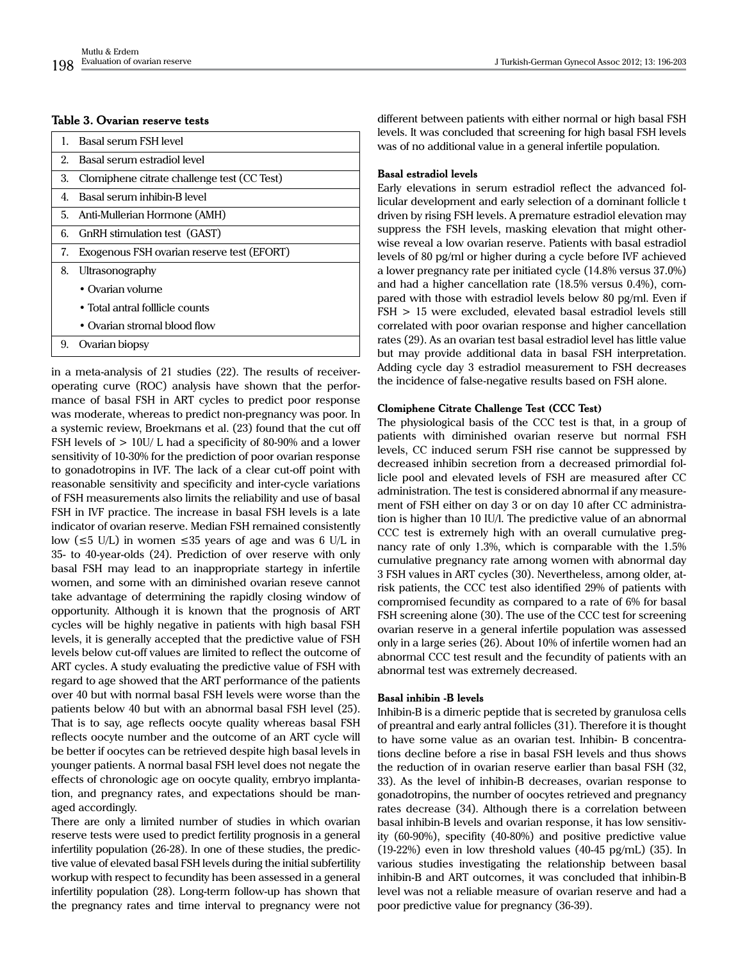|             | Basal serum FSH level                       |
|-------------|---------------------------------------------|
| $2^{\circ}$ | Basal serum estradiol level                 |
| 3.          | Clomiphene citrate challenge test (CC Test) |
| 4.          | Basal serum inhibin-B level                 |
| 5.          | Anti-Mullerian Hormone (AMH)                |
|             | 6. GnRH stimulation test (GAST)             |
| 7.          | Exogenous FSH ovarian reserve test (EFORT)  |
| 8.          | Ultrasonography                             |
|             | $\bullet$ Ovarian volume                    |
|             | • Total antral folllicle counts             |
|             | $\bullet$ Ovarian stromal blood flow        |
| 9.          | Ovarian biopsy                              |

in a meta-analysis of 21 studies (22). The results of receiveroperating curve (ROC) analysis have shown that the performance of basal FSH in ART cycles to predict poor response was moderate, whereas to predict non-pregnancy was poor. In a systemic review, Broekmans et al. (23) found that the cut off FSH levels of > 10U/ L had a specificity of 80-90% and a lower sensitivity of 10-30% for the prediction of poor ovarian response to gonadotropins in IVF. The lack of a clear cut-off point with reasonable sensitivity and specificity and inter-cycle variations of FSH measurements also limits the reliability and use of basal FSH in IVF practice. The increase in basal FSH levels is a late indicator of ovarian reserve. Median FSH remained consistently low (≤5 U/L) in women ≤35 years of age and was 6 U/L in 35- to 40-year-olds (24). Prediction of over reserve with only basal FSH may lead to an inappropriate startegy in infertile women, and some with an diminished ovarian reseve cannot take advantage of determining the rapidly closing window of opportunity. Although it is known that the prognosis of ART cycles will be highly negative in patients with high basal FSH levels, it is generally accepted that the predictive value of FSH levels below cut-off values are limited to reflect the outcome of ART cycles. A study evaluating the predictive value of FSH with regard to age showed that the ART performance of the patients over 40 but with normal basal FSH levels were worse than the patients below 40 but with an abnormal basal FSH level (25). That is to say, age reflects oocyte quality whereas basal FSH reflects oocyte number and the outcome of an ART cycle will be better if oocytes can be retrieved despite high basal levels in younger patients. A normal basal FSH level does not negate the effects of chronologic age on oocyte quality, embryo implantation, and pregnancy rates, and expectations should be managed accordingly.

There are only a limited number of studies in which ovarian reserve tests were used to predict fertility prognosis in a general infertility population (26-28). In one of these studies, the predictive value of elevated basal FSH levels during the initial subfertility workup with respect to fecundity has been assessed in a general infertility population (28). Long-term follow-up has shown that the pregnancy rates and time interval to pregnancy were not

different between patients with either normal or high basal FSH levels. It was concluded that screening for high basal FSH levels was of no additional value in a general infertile population.

#### **Basal estradiol levels**

Early elevations in serum estradiol reflect the advanced follicular development and early selection of a dominant follicle t driven by rising FSH levels. A premature estradiol elevation may suppress the FSH levels, masking elevation that might otherwise reveal a low ovarian reserve. Patients with basal estradiol levels of 80 pg/ml or higher during a cycle before IVF achieved a lower pregnancy rate per initiated cycle (14.8% versus 37.0%) and had a higher cancellation rate (18.5% versus 0.4%), compared with those with estradiol levels below 80 pg/ml. Even if FSH > 15 were excluded, elevated basal estradiol levels still correlated with poor ovarian response and higher cancellation rates (29). As an ovarian test basal estradiol level has little value but may provide additional data in basal FSH interpretation. Adding cycle day 3 estradiol measurement to FSH decreases the incidence of false-negative results based on FSH alone.

#### **Clomiphene Citrate Challenge Test (CCC Test)**

The physiological basis of the CCC test is that, in a group of patients with diminished ovarian reserve but normal FSH levels, CC induced serum FSH rise cannot be suppressed by decreased inhibin secretion from a decreased primordial follicle pool and elevated levels of FSH are measured after CC administration. The test is considered abnormal if any measurement of FSH either on day 3 or on day 10 after CC administration is higher than 10 IU/l. The predictive value of an abnormal CCC test is extremely high with an overall cumulative pregnancy rate of only 1.3%, which is comparable with the 1.5% cumulative pregnancy rate among women with abnormal day 3 FSH values in ART cycles (30). Nevertheless, among older, atrisk patients, the CCC test also identified 29% of patients with compromised fecundity as compared to a rate of 6% for basal FSH screening alone (30). The use of the CCC test for screening ovarian reserve in a general infertile population was assessed only in a large series (26). About 10% of infertile women had an abnormal CCC test result and the fecundity of patients with an abnormal test was extremely decreased.

#### **Basal inhibin -B levels**

Inhibin-B is a dimeric peptide that is secreted by granulosa cells of preantral and early antral follicles (31). Therefore it is thought to have some value as an ovarian test. Inhibin- B concentrations decline before a rise in basal FSH levels and thus shows the reduction of in ovarian reserve earlier than basal FSH (32, 33). As the level of inhibin-B decreases, ovarian response to gonadotropins, the number of oocytes retrieved and pregnancy rates decrease (34). Although there is a correlation between basal inhibin-B levels and ovarian response, it has low sensitivity (60-90%), specifity (40-80%) and positive predictive value (19-22%) even in low threshold values (40-45 pg/mL) (35). In various studies investigating the relationship between basal inhibin-B and ART outcomes, it was concluded that inhibin-B level was not a reliable measure of ovarian reserve and had a poor predictive value for pregnancy (36-39).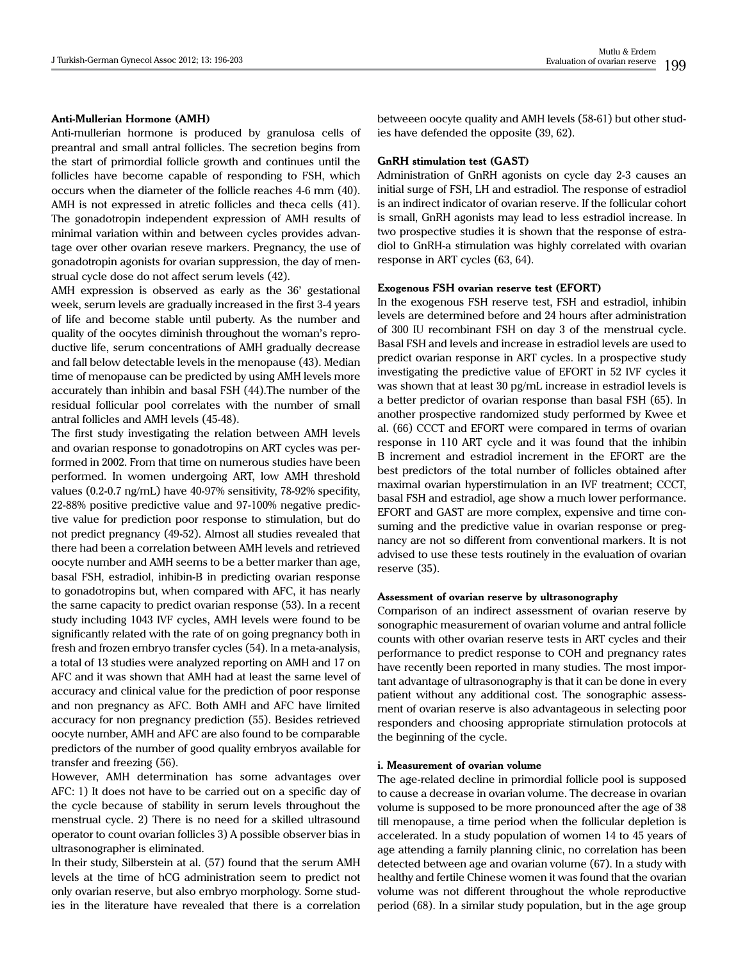#### **Anti-Mullerian Hormone (AMH)**

Anti-mullerian hormone is produced by granulosa cells of preantral and small antral follicles. The secretion begins from the start of primordial follicle growth and continues until the follicles have become capable of responding to FSH, which occurs when the diameter of the follicle reaches 4-6 mm (40). AMH is not expressed in atretic follicles and theca cells (41). The gonadotropin independent expression of AMH results of minimal variation within and between cycles provides advantage over other ovarian reseve markers. Pregnancy, the use of gonadotropin agonists for ovarian suppression, the day of menstrual cycle dose do not affect serum levels (42).

AMH expression is observed as early as the 36' gestational week, serum levels are gradually increased in the first 3-4 years of life and become stable until puberty. As the number and quality of the oocytes diminish throughout the woman's reproductive life, serum concentrations of AMH gradually decrease and fall below detectable levels in the menopause (43). Median time of menopause can be predicted by using AMH levels more accurately than inhibin and basal FSH (44).The number of the residual follicular pool correlates with the number of small antral follicles and AMH levels (45-48).

The first study investigating the relation between AMH levels and ovarian response to gonadotropins on ART cycles was performed in 2002. From that time on numerous studies have been performed. In women undergoing ART, low AMH threshold values (0.2-0.7 ng/mL) have 40-97% sensitivity, 78-92% specifity, 22-88% positive predictive value and 97-100% negative predictive value for prediction poor response to stimulation, but do not predict pregnancy (49-52). Almost all studies revealed that there had been a correlation between AMH levels and retrieved oocyte number and AMH seems to be a better marker than age, basal FSH, estradiol, inhibin-B in predicting ovarian response to gonadotropins but, when compared with AFC, it has nearly the same capacity to predict ovarian response (53). In a recent study including 1043 IVF cycles, AMH levels were found to be significantly related with the rate of on going pregnancy both in fresh and frozen embryo transfer cycles (54). In a meta-analysis, a total of 13 studies were analyzed reporting on AMH and 17 on AFC and it was shown that AMH had at least the same level of accuracy and clinical value for the prediction of poor response and non pregnancy as AFC. Both AMH and AFC have limited accuracy for non pregnancy prediction (55). Besides retrieved oocyte number, AMH and AFC are also found to be comparable predictors of the number of good quality embryos available for transfer and freezing (56).

However, AMH determination has some advantages over AFC: 1) It does not have to be carried out on a specific day of the cycle because of stability in serum levels throughout the menstrual cycle. 2) There is no need for a skilled ultrasound operator to count ovarian follicles 3) A possible observer bias in ultrasonographer is eliminated.

In their study, Silberstein at al. (57) found that the serum AMH levels at the time of hCG administration seem to predict not only ovarian reserve, but also embryo morphology. Some studies in the literature have revealed that there is a correlation betweeen oocyte quality and AMH levels (58-61) but other studies have defended the opposite (39, 62).

#### **GnRH stimulation test (GAST)**

Administration of GnRH agonists on cycle day 2-3 causes an initial surge of FSH, LH and estradiol. The response of estradiol is an indirect indicator of ovarian reserve. If the follicular cohort is small, GnRH agonists may lead to less estradiol increase. In two prospective studies it is shown that the response of estradiol to GnRH-a stimulation was highly correlated with ovarian response in ART cycles (63, 64).

#### **Exogenous FSH ovarian reserve test (EFORT)**

In the exogenous FSH reserve test, FSH and estradiol, inhibin levels are determined before and 24 hours after administration of 300 IU recombinant FSH on day 3 of the menstrual cycle. Basal FSH and levels and increase in estradiol levels are used to predict ovarian response in ART cycles. In a prospective study investigating the predictive value of EFORT in 52 IVF cycles it was shown that at least 30 pg/mL increase in estradiol levels is a better predictor of ovarian response than basal FSH (65). In another prospective randomized study performed by Kwee et al. (66) CCCT and EFORT were compared in terms of ovarian response in 110 ART cycle and it was found that the inhibin B increment and estradiol increment in the EFORT are the best predictors of the total number of follicles obtained after maximal ovarian hyperstimulation in an IVF treatment; CCCT, basal FSH and estradiol, age show a much lower performance. EFORT and GAST are more complex, expensive and time consuming and the predictive value in ovarian response or pregnancy are not so different from conventional markers. It is not advised to use these tests routinely in the evaluation of ovarian reserve (35).

#### **Assessment of ovarian reserve by ultrasonography**

Comparison of an indirect assessment of ovarian reserve by sonographic measurement of ovarian volume and antral follicle counts with other ovarian reserve tests in ART cycles and their performance to predict response to COH and pregnancy rates have recently been reported in many studies. The most important advantage of ultrasonography is that it can be done in every patient without any additional cost. The sonographic assessment of ovarian reserve is also advantageous in selecting poor responders and choosing appropriate stimulation protocols at the beginning of the cycle.

#### **i. Measurement of ovarian volume**

The age-related decline in primordial follicle pool is supposed to cause a decrease in ovarian volume. The decrease in ovarian volume is supposed to be more pronounced after the age of 38 till menopause, a time period when the follicular depletion is accelerated. In a study population of women 14 to 45 years of age attending a family planning clinic, no correlation has been detected between age and ovarian volume (67). In a study with healthy and fertile Chinese women it was found that the ovarian volume was not different throughout the whole reproductive period (68). In a similar study population, but in the age group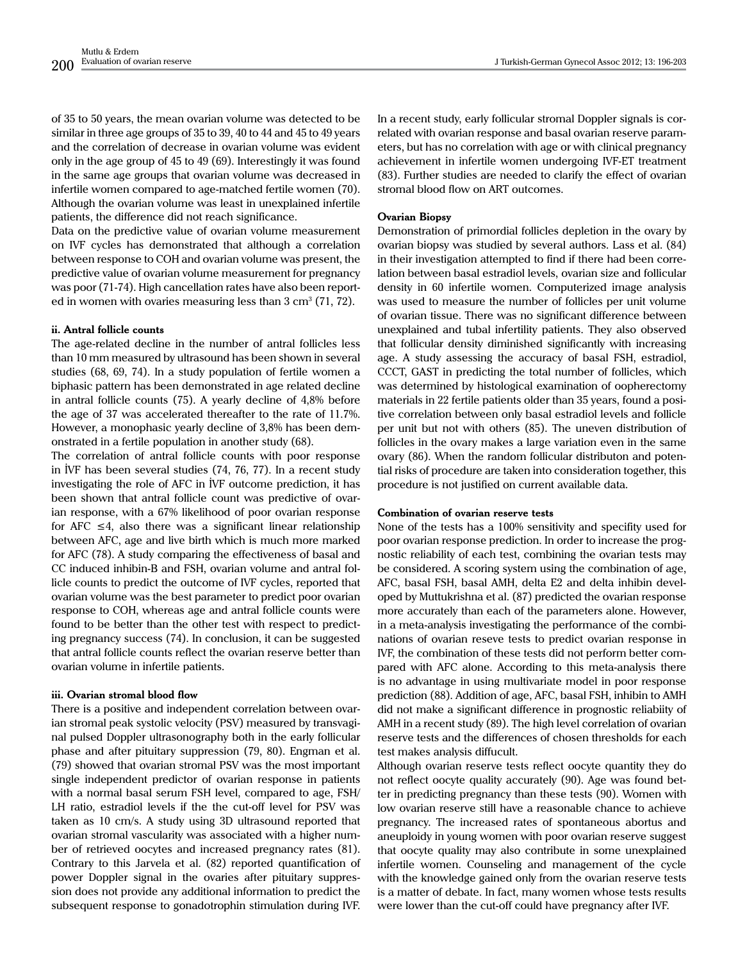of 35 to 50 years, the mean ovarian volume was detected to be similar in three age groups of 35 to 39, 40 to 44 and 45 to 49 years and the correlation of decrease in ovarian volume was evident only in the age group of 45 to 49 (69). Interestingly it was found in the same age groups that ovarian volume was decreased in infertile women compared to age-matched fertile women (70). Although the ovarian volume was least in unexplained infertile patients, the difference did not reach significance.

Data on the predictive value of ovarian volume measurement on IVF cycles has demonstrated that although a correlation between response to COH and ovarian volume was present, the predictive value of ovarian volume measurement for pregnancy was poor (71-74). High cancellation rates have also been reported in women with ovaries measuring less than  $3 \text{ cm}^3 \text{ (71, 72)}$ .

#### **ii. Antral follicle counts**

The age-related decline in the number of antral follicles less than 10 mm measured by ultrasound has been shown in several studies (68, 69, 74). In a study population of fertile women a biphasic pattern has been demonstrated in age related decline in antral follicle counts (75). A yearly decline of 4,8% before the age of 37 was accelerated thereafter to the rate of 11.7%. However, a monophasic yearly decline of 3,8% has been demonstrated in a fertile population in another study (68).

The correlation of antral follicle counts with poor response in İVF has been several studies (74, 76, 77). In a recent study investigating the role of AFC in İVF outcome prediction, it has been shown that antral follicle count was predictive of ovarian response, with a 67% likelihood of poor ovarian response for AFC  $\leq$ 4, also there was a significant linear relationship between AFC, age and live birth which is much more marked for AFC (78). A study comparing the effectiveness of basal and CC induced inhibin-B and FSH, ovarian volume and antral follicle counts to predict the outcome of IVF cycles, reported that ovarian volume was the best parameter to predict poor ovarian response to COH, whereas age and antral follicle counts were found to be better than the other test with respect to predicting pregnancy success (74). In conclusion, it can be suggested that antral follicle counts reflect the ovarian reserve better than ovarian volume in infertile patients.

#### **iii. Ovarian stromal blood flow**

There is a positive and independent correlation between ovarian stromal peak systolic velocity (PSV) measured by transvaginal pulsed Doppler ultrasonography both in the early follicular phase and after pituitary suppression (79, 80). Engman et al. (79) showed that ovarian stromal PSV was the most important single independent predictor of ovarian response in patients with a normal basal serum FSH level, compared to age, FSH/ LH ratio, estradiol levels if the the cut-off level for PSV was taken as 10 cm/s. A study using 3D ultrasound reported that ovarian stromal vascularity was associated with a higher number of retrieved oocytes and increased pregnancy rates (81). Contrary to this Jarvela et al. (82) reported quantification of power Doppler signal in the ovaries after pituitary suppression does not provide any additional information to predict the subsequent response to gonadotrophin stimulation during IVF.

In a recent study, early follicular stromal Doppler signals is correlated with ovarian response and basal ovarian reserve parameters, but has no correlation with age or with clinical pregnancy achievement in infertile women undergoing IVF-ET treatment (83). Further studies are needed to clarify the effect of ovarian stromal blood flow on ART outcomes.

#### **Ovarian Biopsy**

Demonstration of primordial follicles depletion in the ovary by ovarian biopsy was studied by several authors. Lass et al. (84) in their investigation attempted to find if there had been correlation between basal estradiol levels, ovarian size and follicular density in 60 infertile women. Computerized image analysis was used to measure the number of follicles per unit volume of ovarian tissue. There was no significant difference between unexplained and tubal infertility patients. They also observed that follicular density diminished significantly with increasing age. A study assessing the accuracy of basal FSH, estradiol, CCCT, GAST in predicting the total number of follicles, which was determined by histological examination of oopherectomy materials in 22 fertile patients older than 35 years, found a positive correlation between only basal estradiol levels and follicle per unit but not with others (85). The uneven distribution of follicles in the ovary makes a large variation even in the same ovary (86). When the random follicular distributon and potential risks of procedure are taken into consideration together, this procedure is not justified on current available data.

#### **Combination of ovarian reserve tests**

None of the tests has a 100% sensitivity and specifity used for poor ovarian response prediction. In order to increase the prognostic reliability of each test, combining the ovarian tests may be considered. A scoring system using the combination of age, AFC, basal FSH, basal AMH, delta E2 and delta inhibin developed by Muttukrishna et al. (87) predicted the ovarian response more accurately than each of the parameters alone. However, in a meta-analysis investigating the performance of the combinations of ovarian reseve tests to predict ovarian response in IVF, the combination of these tests did not perform better compared with AFC alone. According to this meta-analysis there is no advantage in using multivariate model in poor response prediction (88). Addition of age, AFC, basal FSH, inhibin to AMH did not make a significant difference in prognostic reliabiity of AMH in a recent study (89). The high level correlation of ovarian reserve tests and the differences of chosen thresholds for each test makes analysis diffucult.

Although ovarian reserve tests reflect oocyte quantity they do not reflect oocyte quality accurately (90). Age was found better in predicting pregnancy than these tests (90). Women with low ovarian reserve still have a reasonable chance to achieve pregnancy. The increased rates of spontaneous abortus and aneuploidy in young women with poor ovarian reserve suggest that oocyte quality may also contribute in some unexplained infertile women. Counseling and management of the cycle with the knowledge gained only from the ovarian reserve tests is a matter of debate. In fact, many women whose tests results were lower than the cut-off could have pregnancy after IVF.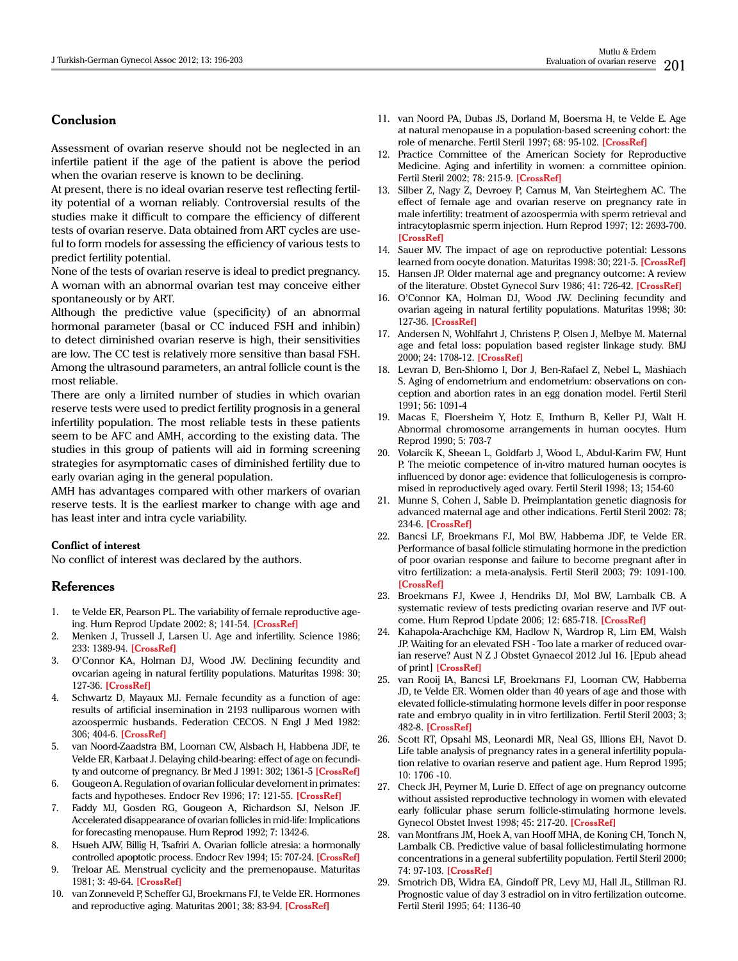#### **Conclusion**

Assessment of ovarian reserve should not be neglected in an infertile patient if the age of the patient is above the period when the ovarian reserve is known to be declining.

At present, there is no ideal ovarian reserve test reflecting fertility potential of a woman reliably. Controversial results of the studies make it difficult to compare the efficiency of different tests of ovarian reserve. Data obtained from ART cycles are useful to form models for assessing the efficiency of various tests to predict fertility potential.

None of the tests of ovarian reserve is ideal to predict pregnancy. A woman with an abnormal ovarian test may conceive either spontaneously or by ART.

Although the predictive value (specificity) of an abnormal hormonal parameter (basal or CC induced FSH and inhibin) to detect diminished ovarian reserve is high, their sensitivities are low. The CC test is relatively more sensitive than basal FSH. Among the ultrasound parameters, an antral follicle count is the most reliable.

There are only a limited number of studies in which ovarian reserve tests were used to predict fertility prognosis in a general infertility population. The most reliable tests in these patients seem to be AFC and AMH, according to the existing data. The studies in this group of patients will aid in forming screening strategies for asymptomatic cases of diminished fertility due to early ovarian aging in the general population.

AMH has advantages compared with other markers of ovarian reserve tests. It is the earliest marker to change with age and has least inter and intra cycle variability.

#### **Conflict of interest**

No conflict of interest was declared by the authors.

#### **References**

- 1. te Velde ER, Pearson PL. The variability of female reproductive ageing. Hum Reprod Update 2002: 8; 141-54. **[[CrossRef\]](http://dx.doi.org/10.1093/humupd/8.2.141)**
- 2. Menken J, Trussell J, Larsen U. Age and infertility. Science 1986; 233: 1389-94. **[\[CrossRef\]](http://dx.doi.org/10.1126/science.3755843)**
- 3. O'Connor KA, Holman DJ, Wood JW. Declining fecundity and ovcarian ageing in natural fertility populations. Maturitas 1998: 30; 127-36. **[\[CrossRef\]](http://dx.doi.org/10.1016/S0378-5122(98)00068-1)**
- Schwartz D, Mayaux MJ. Female fecundity as a function of age: results of artificial insemination in 2193 nulliparous women with azoospermic husbands. Federation CECOS. N Engl J Med 1982: 306; 404-6. **[[CrossRef\]](http://dx.doi.org/10.1056/NEJM198202183060706)**
- 5. van Noord-Zaadstra BM, Looman CW, Alsbach H, Habbena JDF, te Velde ER, Karbaat J. Delaying child-bearing: effect of age on fecundity and outcome of pregnancy. Br Med J 1991: 302; 1361-5 **[\[CrossRef](http://dx.doi.org/10.1136/bmj.302.6789.1361)]**
- 6. Gougeon A. Regulation of ovarian follicular develoment in primates: facts and hypotheses. Endocr Rev 1996; 17: 121-55. **[[CrossRef](http://dx.doi.org/10.1210/edrv-17-2-121)]**
- 7. Faddy MJ, Gosden RG, Gougeon A, Richardson SJ, Nelson JF. Accelerated disappearance of ovarian follicles in mid-life: Implications for forecasting menopause. Hum Reprod 1992; 7: 1342-6.
- 8. Hsueh AJW, Billig H, Tsafriri A. Ovarian follicle atresia: a hormonally controlled apoptotic process. Endocr Rev 1994; 15: 707-24. **[\[CrossRef](http://dx.doi.org/10.1210/edrv-15-6-707)]**
- 9. Treloar AE. Menstrual cyclicity and the premenopause. Maturitas 1981; 3: 49-64. **[[CrossRef](http://dx.doi.org/10.1016/0378-5122(81)90032-3)]**
- 10. van Zonneveld P, Scheffer GJ, Broekmans FJ, te Velde ER. Hormones and reproductive aging. Maturitas 2001; 38: 83-94. **[\[CrossRef](http://dx.doi.org/10.1016/S0378-5122(00)00194-8)]**
- 11. van Noord PA, Dubas JS, Dorland M, Boersma H, te Velde E. Age at natural menopause in a population-based screening cohort: the role of menarche. Fertil Steril 1997; 68: 95-102. **[\[CrossRef\]](http://dx.doi.org/10.1016/S0015-0282(97)81482-3)**
- 12. Practice Committee of the American Society for Reproductive Medicine. Aging and infertility in women: a committee opinion. Fertil Steril 2002; 78: 215-9. **[\[CrossRef](http://dx.doi.org/10.1016/S0015-0282(02)03212-0)]**
- 13. Silber Z, Nagy Z, Devroey P, Camus M, Van Steirteghem AC. The effect of female age and ovarian reserve on pregnancy rate in male infertility: treatment of azoospermia with sperm retrieval and intracytoplasmic sperm injection. Hum Reprod 1997; 12: 2693-700. **[[CrossRef\]](http://dx.doi.org/10.1093/humrep/12.12.2693)**
- 14. Sauer MV. The impact of age on reproductive potential: Lessons learned from oocyte donation. Maturitas 1998: 30; 221-5. **[\[CrossRef\]](http://dx.doi.org/10.1016/S0378-5122(98)00077-2)**
- 15. Hansen JP. Older maternal age and pregnancy outcome: A review of the literature. Obstet Gynecol Surv 1986; 41: 726-42. **[[CrossRef](http://dx.doi.org/10.1097/00006254-198611000-00024)]**
- 16. O'Connor KA, Holman DJ, Wood JW. Declining fecundity and ovarian ageing in natural fertility populations. Maturitas 1998; 30: 127-36. **[\[CrossRef](http://dx.doi.org/10.1016/S0378-5122(98)00068-1)]**
- 17. Andersen N, Wohlfahrt J, Christens P, Olsen J, Melbye M. Maternal age and fetal loss: population based register linkage study. BMJ 2000; 24: 1708-12. **[\[CrossRef](http://dx.doi.org/10.1136/bmj.320.7251.1708)]**
- 18. Levran D, Ben-Shlomo I, Dor J, Ben-Rafael Z, Nebel L, Mashiach S. Aging of endometrium and endometrium: observations on conception and abortion rates in an egg donation model. Fertil Steril 1991; 56: 1091-4
- 19. Macas E, Floersheim Y, Hotz E, Imthurn B, Keller PJ, Walt H. Abnormal chromosome arrangements in human oocytes. Hum Reprod 1990; 5: 703-7
- 20. Volarcik K, Sheean L, Goldfarb J, Wood L, Abdul-Karim FW, Hunt P. The meiotic competence of in-vitro matured human oocytes is influenced by donor age: evidence that folliculogenesis is compromised in reproductively aged ovary. Fertil Steril 1998; 13; 154-60
- 21. Munne S, Cohen J, Sable D. Preimplantation genetic diagnosis for advanced maternal age and other indications. Fertil Steril 2002: 78; 234-6. **[\[CrossRef\]](http://dx.doi.org/10.1016/S0015-0282(02)03239-9)**
- 22. Bancsi LF, Broekmans FJ, Mol BW, Habbema JDF, te Velde ER. Performance of basal follicle stimulating hormone in the prediction of poor ovarian response and failure to become pregnant after in vitro fertilization: a meta-analysis. Fertil Steril 2003; 79: 1091-100. **[[CrossRef\]](http://dx.doi.org/10.1016/S0015-0282(03)00078-5)**
- 23. Broekmans FJ, Kwee J, Hendriks DJ, Mol BW, Lambalk CB. A systematic review of tests predicting ovarian reserve and IVF outcome. Hum Reprod Update 2006; 12: 685-718. **[\[CrossRef\]](http://dx.doi.org/10.1093/humupd/dml034)**
- 24. Kahapola-Arachchige KM, Hadlow N, Wardrop R, Lim EM, Walsh JP. Waiting for an elevated FSH - Too late a marker of reduced ovarian reserve? Aust N Z J Obstet Gynaecol 2012 Jul 16. [Epub ahead of print] **[\[CrossRef\]](http://dx.doi.org/10.1111/j.1479-828X.2012.01464.x)**
- 25. van Rooij IA, Bancsi LF, Broekmans FJ, Looman CW, Habbema JD, te Velde ER. Women older than 40 years of age and those with elevated follicle-stimulating hormone levels differ in poor response rate and embryo quality in in vitro fertilization. Fertil Steril 2003; 3; 482-8. **[\[CrossRef\]](http://dx.doi.org/10.1016/S0015-0282(02)04839-2)**
- 26. Scott RT, Opsahl MS, Leonardi MR, Neal GS, Illions EH, Navot D. Life table analysis of pregnancy rates in a general infertility population relative to ovarian reserve and patient age. Hum Reprod 1995; 10: 1706 -10.
- 27. Check JH, Peymer M, Lurie D. Effect of age on pregnancy outcome without assisted reproductive technology in women with elevated early follicular phase serum follicle-stimulating hormone levels. Gynecol Obstet Invest 1998; 45: 217-20. **[\[CrossRef\]](http://dx.doi.org/10.1159/000009970)**
- 28. van Montfrans JM, Hoek A, van Hooff MHA, de Koning CH, Tonch N, Lambalk CB. Predictive value of basal folliclestimulating hormone concentrations in a general subfertility population. Fertil Steril 2000; 74: 97-103. **[\[CrossRef\]](http://dx.doi.org/10.1016/S0015-0282(00)00560-4)**
- 29. Smotrich DB, Widra EA, Gindoff PR, Levy MJ, Hall JL, Stillman RJ. Prognostic value of day 3 estradiol on in vitro fertilization outcome. Fertil Steril 1995; 64: 1136-40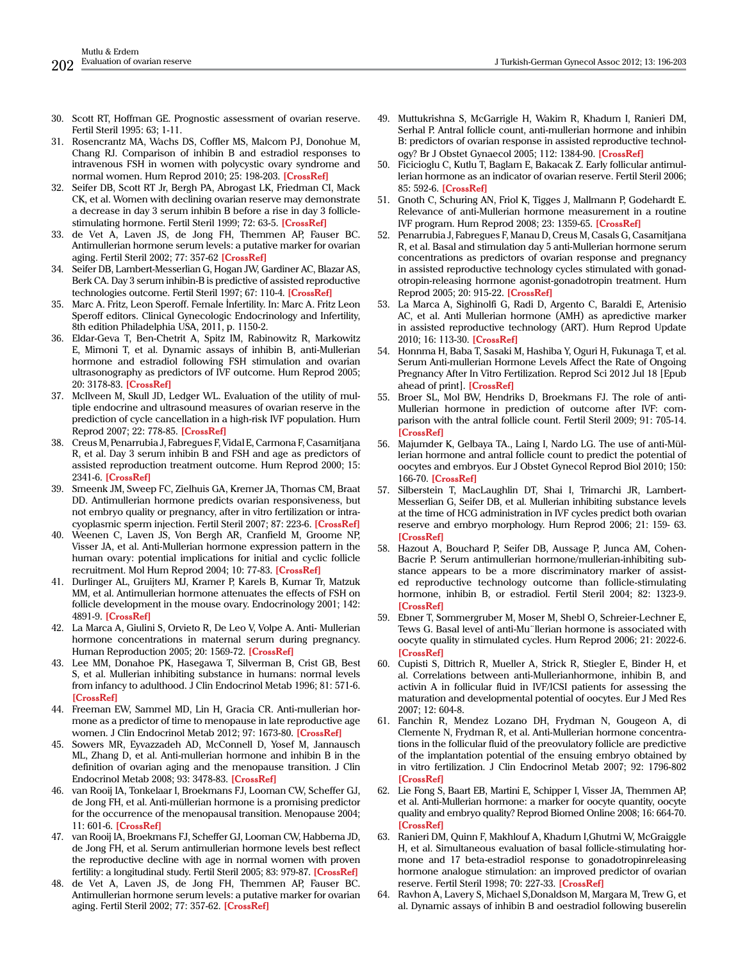- 30. Scott RT, Hoffman GE. Prognostic assessment of ovarian reserve. Fertil Steril 1995: 63; 1-11.
- 31. Rosencrantz MA, Wachs DS, Coffler MS, Malcom PJ, Donohue M, Chang RJ. Comparison of inhibin B and estradiol responses to intravenous FSH in women with polycystic ovary syndrome and normal women. Hum Reprod 2010; 25: 198-203. **[CrossRef]**
- 32. Seifer DB, Scott RT Jr, Bergh PA, Abrogast LK, Friedman CI, Mack CK, et al. Women with declining ovarian reserve may demonstrate a decrease in day 3 serum inhibin B before a rise in day 3 folliclestimulating hormone. Fertil Steril 1999; 72: 63-5. **[\[CrossRef](http://dx.doi.org/10.1016/S0015-0282(99)00193-4)]**
- 33. de Vet A, Laven JS, de Jong FH, Themmen AP, Fauser BC. Antimullerian hormone serum levels: a putative marker for ovarian aging. Fertil Steril 2002; 77: 357-62 **[[CrossRef](http://dx.doi.org/10.1016/S0015-0282(01)02993-4)]**
- 34. Seifer DB, Lambert-Messerlian G, Hogan JW, Gardiner AC, Blazar AS, Berk CA. Day 3 serum inhibin-B is predictive of assisted reproductive technologies outcome. Fertil Steril 1997; 67: 110-4. **[[CrossRef\]](http://dx.doi.org/10.1016/S0015-0282(97)81865-1)**
- 35. Marc A. Fritz, Leon Speroff. Female İnfertility. In: Marc A. Fritz Leon Speroff editors. Clinical Gynecologic Endocrinology and Infertility, 8th edition Philadelphia USA, 2011, p. 1150-2.
- 36. Eldar-Geva T, Ben-Chetrit A, Spitz IM, Rabinowitz R, Markowitz E, Mimoni T, et al. Dynamic assays of inhibin B, anti-Mullerian hormone and estradiol following FSH stimulation and ovarian ultrasonography as predictors of IVF outcome. Hum Reprod 2005; 20: 3178-83. **[\[CrossRef\]](http://dx.doi.org/10.1093/humrep/dei203)**
- 37. McIlveen M, Skull JD, Ledger WL. Evaluation of the utility of multiple endocrine and ultrasound measures of ovarian reserve in the prediction of cycle cancellation in a high-risk IVF population. Hum Reprod 2007; 22: 778-85. **[[CrossRef](http://dx.doi.org/10.1093/humrep/del435)]**
- 38. Creus M, Penarrubia J, Fabregues F, Vidal E, Carmona F, Casamitjana R, et al. Day 3 serum inhibin B and FSH and age as predictors of assisted reproduction treatment outcome. Hum Reprod 2000; 15: 2341-6. **[\[CrossRef\]](http://dx.doi.org/10.1093/humrep/15.11.2341)**
- 39. Smeenk JM, Sweep FC, Zielhuis GA, Kremer JA, Thomas CM, Braat DD. Antimullerian hormone predicts ovarian responsiveness, but not embryo quality or pregnancy, after in vitro fertilization or intracyoplasmic sperm injection. Fertil Steril 2007; 87: 223-6. **[[CrossRef](http://dx.doi.org/10.1016/j.fertnstert.2006.06.019)]**
- 40. Weenen C, Laven JS, Von Bergh AR, Cranfield M, Groome NP, Visser JA, et al. Anti-Mullerian hormone expression pattern in the human ovary: potential implications for initial and cyclic follicle recruitment. Mol Hum Reprod 2004; 10: 77-83. **[[CrossRef](http://dx.doi.org/10.1093/molehr/gah015)]**
- 41. Durlinger AL, Gruijters MJ, Kramer P, Karels B, Kumar Tr, Matzuk MM, et al. Antimullerian hormone attenuates the effects of FSH on follicle development in the mouse ovary. Endocrinology 2001; 142: 4891-9. **[\[CrossRef\]](http://dx.doi.org/10.1210/en.142.11.4891)**
- 42. La Marca A, Giulini S, Orvieto R, De Leo V, Volpe A. Anti- Mullerian hormone concentrations in maternal serum during pregnancy. Human Reproduction 2005; 20: 1569-72. **[\[CrossRef\]](http://dx.doi.org/10.1093/humrep/deh819)**
- 43. Lee MM, Donahoe PK, Hasegawa T, Silverman B, Crist GB, Best S, et al. Mullerian inhibiting substance in humans: normal levels from infancy to adulthood. J Clin Endocrinol Metab 1996; 81: 571-6. **[[CrossRef](http://dx.doi.org/10.1210/jc.81.2.571)]**
- 44. Freeman EW, Sammel MD, Lin H, Gracia CR. Anti-mullerian hormone as a predictor of time to menopause in late reproductive age women. J Clin Endocrinol Metab 2012; 97: 1673-80. **[[CrossRef\]](http://dx.doi.org/10.1210/jc.2011-3032)**
- 45. Sowers MR, Eyvazzadeh AD, McConnell D, Yosef M, Jannausch ML, Zhang D, et al. Anti-mullerian hormone and inhibin B in the definition of ovarian aging and the menopause transition. J Clin Endocrinol Metab 2008; 93: 3478-83. **[[CrossRef\]](http://dx.doi.org/10.1210/jc.2008-0567)**
- 46. van Rooij IA, Tonkelaar I, Broekmans FJ, Looman CW, Scheffer GJ, de Jong FH, et al. Anti-müllerian hormone is a promising predictor for the occurrence of the menopausal transition. Menopause 2004; 11: 601-6. **[[CrossRef](http://dx.doi.org/10.1097/01.GME.0000123642.76105.6E)]**
- 47. van Rooij IA, Broekmans FJ, Scheffer GJ, Looman CW, Habbema JD, de Jong FH, et al. Serum antimullerian hormone levels best reflect the reproductive decline with age in normal women with proven fertility: a longitudinal study. Fertil Steril 2005; 83: 979-87. **[\[CrossRef\]](http://dx.doi.org/10.1016/j.fertnstert.2004.11.029)**
- 48. de Vet A, Laven JS, de Jong FH, Themmen AP, Fauser BC. Antimullerian hormone serum levels: a putative marker for ovarian aging. Fertil Steril 2002; 77: 357-62. **[[CrossRef\]](http://dx.doi.org/10.1016/S0015-0282(01)02993-4)**
- 49. Muttukrishna S, McGarrigle H, Wakim R, Khadum I, Ranieri DM, Serhal P. Antral follicle count, anti-mullerian hormone and inhibin B: predictors of ovarian response in assisted reproductive technology? Br J Obstet Gynaecol 2005; 112: 1384-90. **[\[CrossRef\]](http://dx.doi.org/10.1111/j.1471-0528.2005.00670.x)**
- 50. Ficicioglu C, Kutlu T, Baglam E, Bakacak Z. Early follicular antimullerian hormone as an indicator of ovarian reserve. Fertil Steril 2006; 85: 592-6. **[\[CrossRef\]](http://dx.doi.org/10.1016/j.fertnstert.2005.09.019)**
- 51. Gnoth C, Schuring AN, Friol K, Tigges J, Mallmann P, Godehardt E. Relevance of anti-Mullerian hormone measurement in a routine IVF program. Hum Reprod 2008; 23: 1359-65. **[\[CrossRef\]](http://dx.doi.org/10.1093/humrep/den108)**
- 52. Penarrubia J, Fabregues F, Manau D, Creus M, Casals G, Casamitjana R, et al. Basal and stimulation day 5 anti-Mullerian hormone serum concentrations as predictors of ovarian response and pregnancy in assisted reproductive technology cycles stimulated with gonadotropin-releasing hormone agonist-gonadotropin treatment. Hum Reprod 2005; 20: 915-22. **[[CrossRef\]](http://dx.doi.org/10.1093/humrep/deh718)**
- 53. La Marca A, Sighinolfi G, Radi D, Argento C, Baraldi E, Artenisio AC, et al. Anti Mullerian hormone (AMH) as apredictive marker in assisted reproductive technology (ART). Hum Reprod Update 2010; 16: 113-30. **[\[CrossRef\]](http://dx.doi.org/10.1093/humupd/dmp036)**
- 54. Honnma H, Baba T, Sasaki M, Hashiba Y, Oguri H, Fukunaga T, et al. Serum Anti-mullerian Hormone Levels Affect the Rate of Ongoing Pregnancy After In Vitro Fertilization. Reprod Sci 2012 Jul 18 [Epub ahead of print]. **[\[CrossRef\]](http://dx.doi.org/10.1177/1933719112450329)**
- 55. Broer SL, Mol BW, Hendriks D, Broekmans FJ. The role of anti-Mullerian hormone in prediction of outcome after IVF: comparison with the antral follicle count. Fertil Steril 2009; 91: 705-14. **[[CrossRef\]](http://dx.doi.org/10.1016/j.fertnstert.2007.12.013)**
- 56. Majumder K, Gelbaya TA., Laing I, Nardo LG. The use of anti-Müllerian hormone and antral follicle count to predict the potential of oocytes and embryos. Eur J Obstet Gynecol Reprod Biol 2010; 150: 166-70. **[\[CrossRef](http://dx.doi.org/10.1016/j.ejogrb.2010.02.029  )]**
- 57. Silberstein T, MacLaughlin DT, Shai I, Trimarchi JR, Lambert-Messerlian G, Seifer DB, et al. Mullerian inhibiting substance levels at the time of HCG administration in IVF cycles predict both ovarian reserve and embryo morphology. Hum Reprod 2006; 21: 159- 63. **[[CrossRef\]](http://dx.doi.org/10.1093/humrep/dei270)**
- 58. Hazout A, Bouchard P, Seifer DB, Aussage P, Junca AM, Cohen-Bacrie P. Serum antimullerian hormone/mullerian-inhibiting substance appears to be a more discriminatory marker of assisted reproductive technology outcome than follicle-stimulating hormone, inhibin B, or estradiol. Fertil Steril 2004; 82: 1323-9. **[[CrossRef\]](http://dx.doi.org/10.1016/j.fertnstert.2004.03.061)**
- 59. Ebner T, Sommergruber M, Moser M, Shebl O, Schreier-Lechner E, Tews G. Basal level of anti-Mu¨llerian hormone is associated with oocyte quality in stimulated cycles. Hum Reprod 2006; 21: 2022-6. **[[CrossRef\]](http://dx.doi.org/10.1093/humrep/del127)**
- 60. Cupisti S, Dittrich R, Mueller A, Strick R, Stiegler E, Binder H, et al. Correlations between anti-Mullerianhormone, inhibin B, and activin A in follicular fluid in IVF/ICSI patients for assessing the maturation and developmental potential of oocytes. Eur J Med Res 2007; 12: 604-8.
- 61. Fanchin R, Mendez Lozano DH, Frydman N, Gougeon A, di Clemente N, Frydman R, et al. Anti-Mullerian hormone concentrations in the follicular fluid of the preovulatory follicle are predictive of the implantation potential of the ensuing embryo obtained by in vitro fertilization. J Clin Endocrinol Metab 2007; 92: 1796-802 **[[CrossRef\]](http://dx.doi.org/10.1210/jc.2006-1053)**
- 62. Lie Fong S, Baart EB, Martini E, Schipper I, Visser JA, Themmen AP, et al. Anti-Mullerian hormone: a marker for oocyte quantity, oocyte quality and embryo quality? Reprod Biomed Online 2008; 16: 664-70. **[[CrossRef\]](http://dx.doi.org/10.1016/S1472-6483(10)60480-4)**
- 63. Ranieri DM, Quinn F, Makhlouf A, Khadum I,Ghutmi W, McGraiggle H, et al. Simultaneous evaluation of basal follicle-stimulating hormone and 17 beta-estradiol response to gonadotropinreleasing hormone analogue stimulation: an improved predictor of ovarian reserve. Fertil Steril 1998; 70: 227-33. **[\[CrossRef](http://dx.doi.org/10.1016/S0015-0282(98)00159-9)]**
- 64. Ravhon A, Lavery S, Michael S,Donaldson M, Margara M, Trew G, et al. Dynamic assays of inhibin B and oestradiol following buserelin